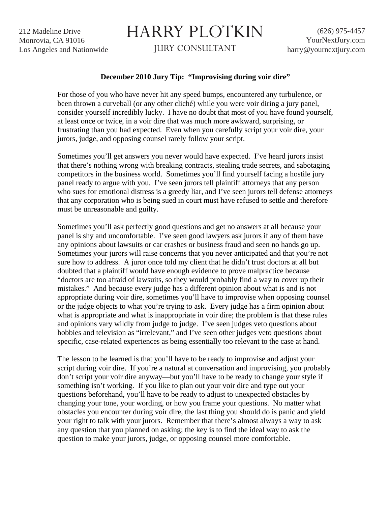212 Madeline Drive Monrovia, CA 91016 Los Angeles and Nationwide

## HARRY PLOTKIN

JURY CONSULTANT

## **December 2010 Jury Tip: "Improvising during voir dire"**

For those of you who have never hit any speed bumps, encountered any turbulence, or been thrown a curveball (or any other cliché) while you were voir diring a jury panel, consider yourself incredibly lucky. I have no doubt that most of you have found yourself, at least once or twice, in a voir dire that was much more awkward, surprising, or frustrating than you had expected. Even when you carefully script your voir dire, your jurors, judge, and opposing counsel rarely follow your script.

Sometimes you'll get answers you never would have expected. I've heard jurors insist that there's nothing wrong with breaking contracts, stealing trade secrets, and sabotaging competitors in the business world. Sometimes you'll find yourself facing a hostile jury panel ready to argue with you. I've seen jurors tell plaintiff attorneys that any person who sues for emotional distress is a greedy liar, and I've seen jurors tell defense attorneys that any corporation who is being sued in court must have refused to settle and therefore must be unreasonable and guilty.

Sometimes you'll ask perfectly good questions and get no answers at all because your panel is shy and uncomfortable. I've seen good lawyers ask jurors if any of them have any opinions about lawsuits or car crashes or business fraud and seen no hands go up. Sometimes your jurors will raise concerns that you never anticipated and that you're not sure how to address. A juror once told my client that he didn't trust doctors at all but doubted that a plaintiff would have enough evidence to prove malpractice because "doctors are too afraid of lawsuits, so they would probably find a way to cover up their mistakes." And because every judge has a different opinion about what is and is not appropriate during voir dire, sometimes you'll have to improvise when opposing counsel or the judge objects to what you're trying to ask. Every judge has a firm opinion about what is appropriate and what is inappropriate in voir dire; the problem is that these rules and opinions vary wildly from judge to judge. I've seen judges veto questions about hobbies and television as "irrelevant," and I've seen other judges veto questions about specific, case-related experiences as being essentially too relevant to the case at hand.

The lesson to be learned is that you'll have to be ready to improvise and adjust your script during voir dire. If you're a natural at conversation and improvising, you probably don't script your voir dire anyway—but you'll have to be ready to change your style if something isn't working. If you like to plan out your voir dire and type out your questions beforehand, you'll have to be ready to adjust to unexpected obstacles by changing your tone, your wording, or how you frame your questions. No matter what obstacles you encounter during voir dire, the last thing you should do is panic and yield your right to talk with your jurors. Remember that there's almost always a way to ask any question that you planned on asking; the key is to find the ideal way to ask the question to make your jurors, judge, or opposing counsel more comfortable.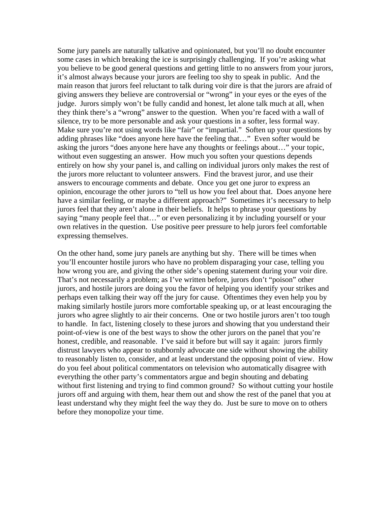Some jury panels are naturally talkative and opinionated, but you'll no doubt encounter some cases in which breaking the ice is surprisingly challenging. If you're asking what you believe to be good general questions and getting little to no answers from your jurors, it's almost always because your jurors are feeling too shy to speak in public. And the main reason that jurors feel reluctant to talk during voir dire is that the jurors are afraid of giving answers they believe are controversial or "wrong" in your eyes or the eyes of the judge. Jurors simply won't be fully candid and honest, let alone talk much at all, when they think there's a "wrong" answer to the question. When you're faced with a wall of silence, try to be more personable and ask your questions in a softer, less formal way. Make sure you're not using words like "fair" or "impartial." Soften up your questions by adding phrases like "does anyone here have the feeling that…" Even softer would be asking the jurors "does anyone here have any thoughts or feelings about…" your topic, without even suggesting an answer. How much you soften your questions depends entirely on how shy your panel is, and calling on individual jurors only makes the rest of the jurors more reluctant to volunteer answers. Find the bravest juror, and use their answers to encourage comments and debate. Once you get one juror to express an opinion, encourage the other jurors to "tell us how you feel about that. Does anyone here have a similar feeling, or maybe a different approach?" Sometimes it's necessary to help jurors feel that they aren't alone in their beliefs. It helps to phrase your questions by saying "many people feel that…" or even personalizing it by including yourself or your own relatives in the question. Use positive peer pressure to help jurors feel comfortable expressing themselves.

On the other hand, some jury panels are anything but shy. There will be times when you'll encounter hostile jurors who have no problem disparaging your case, telling you how wrong you are, and giving the other side's opening statement during your voir dire. That's not necessarily a problem; as I've written before, jurors don't "poison" other jurors, and hostile jurors are doing you the favor of helping you identify your strikes and perhaps even talking their way off the jury for cause. Oftentimes they even help you by making similarly hostile jurors more comfortable speaking up, or at least encouraging the jurors who agree slightly to air their concerns. One or two hostile jurors aren't too tough to handle. In fact, listening closely to these jurors and showing that you understand their point-of-view is one of the best ways to show the other jurors on the panel that you're honest, credible, and reasonable. I've said it before but will say it again: jurors firmly distrust lawyers who appear to stubbornly advocate one side without showing the ability to reasonably listen to, consider, and at least understand the opposing point of view. How do you feel about political commentators on television who automatically disagree with everything the other party's commentators argue and begin shouting and debating without first listening and trying to find common ground? So without cutting your hostile jurors off and arguing with them, hear them out and show the rest of the panel that you at least understand why they might feel the way they do. Just be sure to move on to others before they monopolize your time.